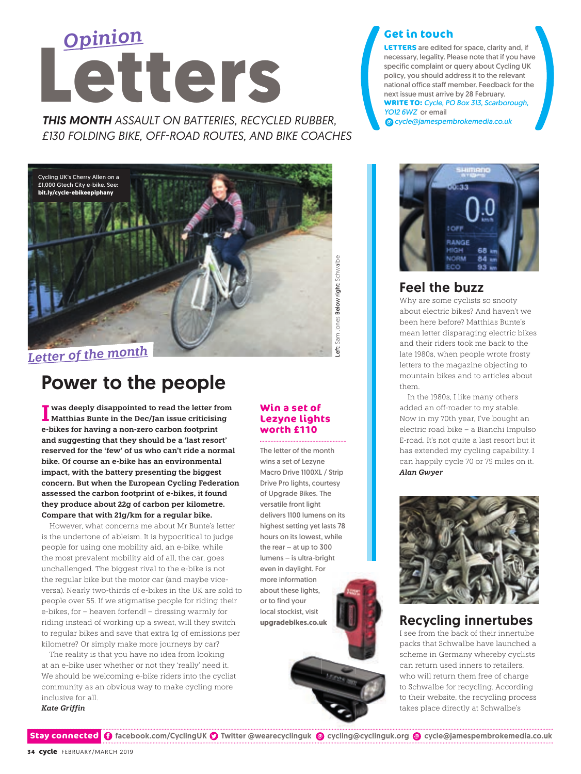

*THIS MONTH ASSAULT ON BATTERIES, RECYCLED RUBBER, £130 FOLDING BIKE, OFF-ROAD ROUTES, AND BIKE COACHES*



# Power to the people

**I was deeply disappointed to read the letter from Matthias Bunte in the Dec/Jan issue criticising e-bikes for having a non-zero carbon footprint and suggesting that they should be a 'last resort' reserved for the 'few' of us who can't ride a normal bike. Of course an e-bike has an environmental impact, with the battery presenting the biggest concern. But when the European Cycling Federation assessed the carbon footprint of e-bikes, it found they produce about 22g of carbon per kilometre. Compare that with 21g/km for a regular bike.** 

However, what concerns me about Mr Bunte's letter is the undertone of ableism. It is hypocritical to judge people for using one mobility aid, an e-bike, while the most prevalent mobility aid of all, the car, goes unchallenged. The biggest rival to the e-bike is not the regular bike but the motor car (and maybe viceversa). Nearly two-thirds of e-bikes in the UK are sold to people over 55. If we stigmatise people for riding their e-bikes, for – heaven forfend! – dressing warmly for riding instead of working up a sweat, will they switch to regular bikes and save that extra 1g of emissions per kilometre? Or simply make more journeys by car?

 The reality is that you have no idea from looking at an e-bike user whether or not they 'really' need it. We should be welcoming e-bike riders into the cyclist community as an obvious way to make cycling more inclusive for all.

*Kate Griffin*

#### **Win a set of Lezyne lights worth £110**

Left: Sam Jones Below right: Schwalbe

Sam Jones Below right: Schwalbe

The letter of the month wins a set of Lezyne Macro Drive 1100XL / Strip Drive Pro lights, courtesy of Upgrade Bikes. The versatile front light delivers 1100 lumens on its highest setting yet lasts 78 hours on its lowest, while the rear – at up to 300 lumens – is ultra-bright even in daylight. For more information about these lights, or to find your local stockist, visit **upgradebikes.co.uk**

**Get in touch**

**LETTERS** are edited for space, clarity and, if necessary, legality. Please note that if you have specific complaint or query about Cycling UK policy, you should address it to the relevant national office staff member. Feedback for the next issue must arrive by 28 February. **WRITE TO:** *Cycle, PO Box 313, Scarborough, YO12 6WZ* or email

 *cycle@jamespembrokemedia.co.uk*



## Feel the buzz

Why are some cyclists so snooty about electric bikes? And haven't we been here before? Matthias Bunte's mean letter disparaging electric bikes and their riders took me back to the late 1980s, when people wrote frosty letters to the magazine objecting to mountain bikes and to articles about them.

 In the 1980s, I like many others added an off-roader to my stable. Now in my 70th year, I've bought an electric road bike – a Bianchi Impulso E-road. It's not quite a last resort but it has extended my cycling capability. I can happily cycle 70 or 75 miles on it. *Alan Gwyer*



# Recycling innertubes

I see from the back of their innertube packs that Schwalbe have launched a scheme in Germany whereby cyclists can return used inners to retailers, who will return them free of charge to Schwalbe for recycling. According to their website, the recycling process takes place directly at Schwalbe's